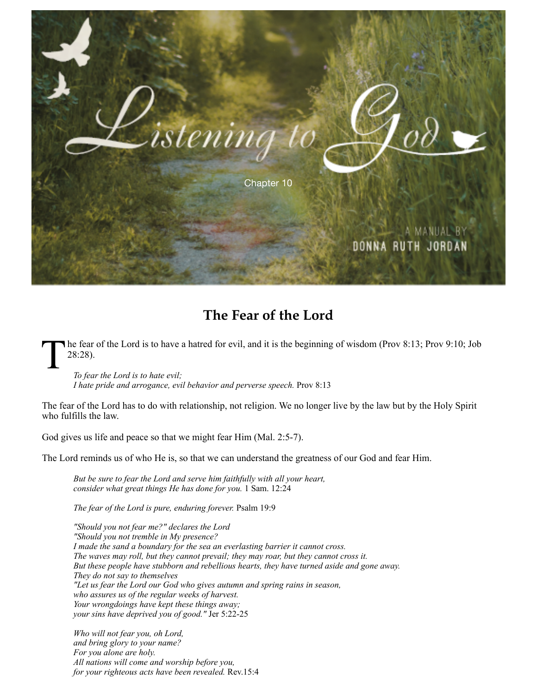

## **The Fear of the Lord**

he fear of the Lord is to have a hatred for evil, and it is the beginning of wisdom (Prov 8:13; Prov 9:10; Job 28:28).

*To fear the Lord is to hate evil; I hate pride and arrogance, evil behavior and perverse speech.* Prov 8:13

The fear of the Lord has to do with relationship, not religion. We no longer live by the law but by the Holy Spirit who fulfills the law.

God gives us life and peace so that we might fear Him (Mal. 2:5-7).

The Lord reminds us of who He is, so that we can understand the greatness of our God and fear Him.

*But be sure to fear the Lord and serve him faithfully with all your heart, consider what great things He has done for you.* 1 Sam. 12:24

*The fear of the Lord is pure, enduring forever.* Psalm 19:9

*"Should you not fear me?" declares the Lord "Should you not tremble in My presence? I made the sand a boundary for the sea an everlasting barrier it cannot cross. The waves may roll, but they cannot prevail; they may roar, but they cannot cross it. But these people have stubborn and rebellious hearts, they have turned aside and gone away. They do not say to themselves "Let us fear the Lord our God who gives autumn and spring rains in season, who assures us of the regular weeks of harvest. Your wrongdoings have kept these things away; your sins have deprived you of good."* Jer 5:22-25

*Who will not fear you, oh Lord, and bring glory to your name? For you alone are holy. All nations will come and worship before you, for your righteous acts have been revealed.* Rev.15:4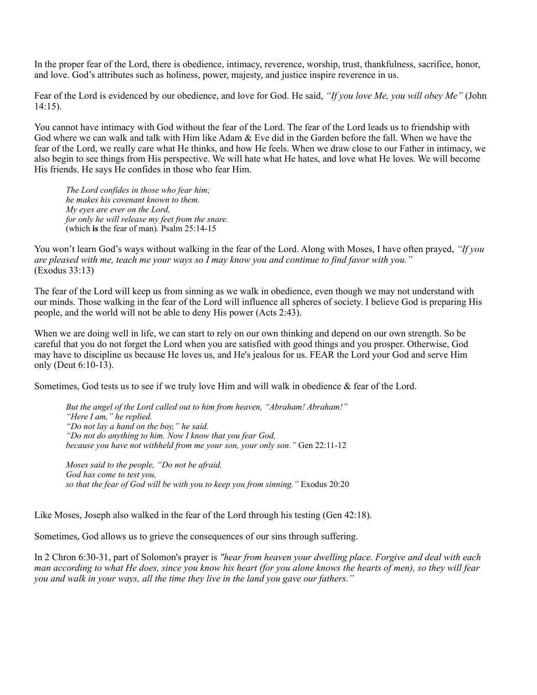In the proper fear of the Lord, there is obedience, intimacy, reverence, worship, trust, thankfulness, sacrifice, honor, and love. God's attributes such as holiness, power, majesty, and justice inspire reverence in us.

Fear of the Lord is evidenced by our obedience, and love for God. He said, *"If you love Me, you will obey Me"* (John 14:15).

You cannot have intimacy with God without the fear of the Lord. The fear of the Lord leads us to friendship with God where we can walk and talk with Him like Adam & Eve did in the Garden before the fall. When we have the fear of the Lord, we really care what He thinks, and how He feels. When we draw close to our Father in intimacy, we also begin to see things from His perspective. We will hate what He hates, and love what He loves. We will become His friends. He says He confides in those who fear Him.

*The Lord confides in those who fear him; he makes his covenant known to them. My eyes are ever on the Lord, for only he will release my feet from the snare.* (which **is** the fear of man)*.* Psalm 25:14-15

You won't learn God's ways without walking in the fear of the Lord. Along with Moses, I have often prayed, *"If you are pleased with me, teach me your ways so I may know you and continue to find favor with you."* (Exodus 33:13)

The fear of the Lord will keep us from sinning as we walk in obedience, even though we may not understand with our minds. Those walking in the fear of the Lord will influence all spheres of society. I believe God is preparing His people, and the world will not be able to deny His power (Acts 2:43).

When we are doing well in life, we can start to rely on our own thinking and depend on our own strength. So be careful that you do not forget the Lord when you are satisfied with good things and you prosper. Otherwise, God may have to discipline us because He loves us, and He's jealous for us. FEAR the Lord your God and serve Him only (Deut 6:10-13).

Sometimes, God tests us to see if we truly love Him and will walk in obedience & fear of the Lord.

*But the angel of the Lord called out to him from heaven, "Abraham! Abraham!" "Here I am," he replied. "Do not lay a hand on the boy," he said. "Do not do anything to him. Now I know that you fear God, because you have not withheld from me your son, your only son."* Gen 22:11-12

*Moses said to the people, "Do not be afraid. God has come to test you, so that the fear of God will be with you to keep you from sinning."* Exodus 20:20

Like Moses, Joseph also walked in the fear of the Lord through his testing (Gen 42:18).

Sometimes, God allows us to grieve the consequences of our sins through suffering.

In 2 Chron 6:30-31, part of Solomon's prayer is *"hear from heaven your dwelling place. Forgive and deal with each man according to what He does, since you know his heart (for you alone knows the hearts of men), so they will fear you and walk in your ways, all the time they live in the land you gave our fathers."*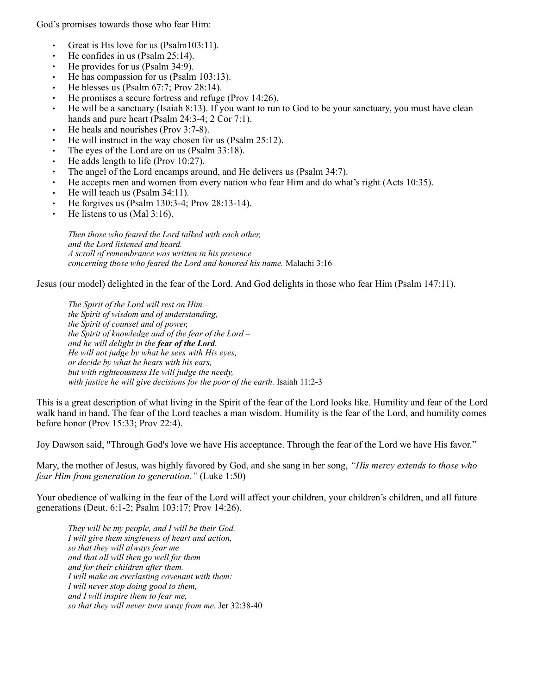God's promises towards those who fear Him:

- Great is His love for us (Psalm103:11).
- He confides in us (Psalm  $25:14$ ).
- He provides for us (Psalm 34:9).
- He has compassion for us (Psalm 103:13).
- He blesses us (Psalm 67:7; Prov 28:14).
- He promises a secure fortress and refuge (Prov 14:26).
- He will be a sanctuary (Isaiah 8:13). If you want to run to God to be your sanctuary, you must have clean hands and pure heart (Psalm 24:3-4; 2 Cor 7:1).
- He heals and nourishes (Prov 3:7-8).
- He will instruct in the way chosen for us (Psalm 25:12).
- The eyes of the Lord are on us (Psalm 33:18).
- He adds length to life (Prov 10:27).
- The angel of the Lord encamps around, and He delivers us (Psalm 34:7).
- He accepts men and women from every nation who fear Him and do what's right (Acts 10:35).
- He will teach us (Psalm 34:11).
- He forgives us (Psalm 130:3-4; Prov 28:13-14).
- He listens to us (Mal  $3:16$ ).

*Then those who feared the Lord talked with each other, and the Lord listened and heard. A scroll of remembrance was written in his presence concerning those who feared the Lord and honored his name.* Malachi 3:16

Jesus (our model) delighted in the fear of the Lord. And God delights in those who fear Him (Psalm 147:11).

*The Spirit of the Lord will rest on Him – the Spirit of wisdom and of understanding, the Spirit of counsel and of power, the Spirit of knowledge and of the fear of the Lord – and he will delight in the fear of the Lord. He will not judge by what he sees with His eyes, or decide by what he hears with his ears, but with righteousness He will judge the needy, with justice he will give decisions for the poor of the earth.* Isaiah 11:2-3

This is a great description of what living in the Spirit of the fear of the Lord looks like. Humility and fear of the Lord walk hand in hand. The fear of the Lord teaches a man wisdom. Humility is the fear of the Lord, and humility comes before honor (Prov 15:33; Prov 22:4).

Joy Dawson said, "Through God's love we have His acceptance. Through the fear of the Lord we have His favor."

Mary, the mother of Jesus, was highly favored by God, and she sang in her song, *"His mercy extends to those who fear Him from generation to generation."* (Luke 1:50)

Your obedience of walking in the fear of the Lord will affect your children, your children's children, and all future generations (Deut. 6:1-2; Psalm 103:17; Prov 14:26).

*They will be my people, and I will be their God. I will give them singleness of heart and action, so that they will always fear me and that all will then go well for them and for their children after them. I will make an everlasting covenant with them: I will never stop doing good to them, and I will inspire them to fear me, so that they will never turn away from me.* Jer 32:38-40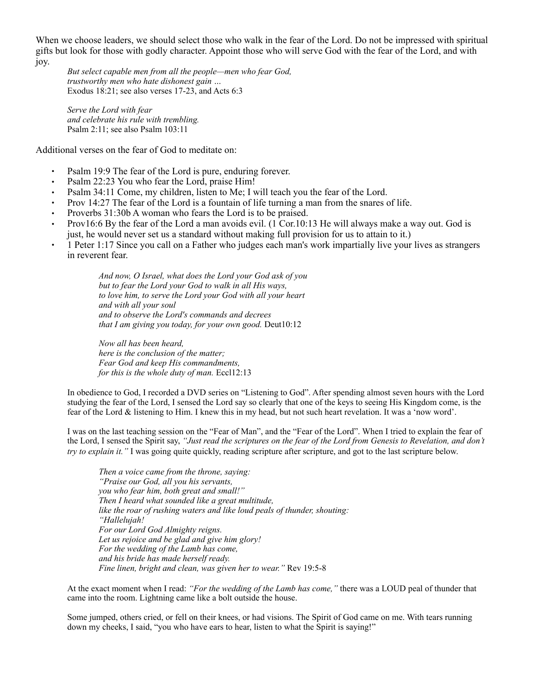When we choose leaders, we should select those who walk in the fear of the Lord. Do not be impressed with spiritual gifts but look for those with godly character. Appoint those who will serve God with the fear of the Lord, and with joy.

*But select capable men from all the people—men who fear God, trustworthy men who hate dishonest gain …* Exodus 18:21; see also verses 17-23, and Acts 6:3

*Serve the Lord with fear and celebrate his rule with trembling.* Psalm 2:11; see also Psalm 103:11

Additional verses on the fear of God to meditate on:

- Psalm 19:9 The fear of the Lord is pure, enduring forever.
- Psalm 22:23 You who fear the Lord, praise Him!
- Psalm 34:11 Come, my children, listen to Me; I will teach you the fear of the Lord.
- Prov 14:27 The fear of the Lord is a fountain of life turning a man from the snares of life.
- Proverbs 31:30b A woman who fears the Lord is to be praised.
- Prov16:6 By the fear of the Lord a man avoids evil. (1 Cor.10:13 He will always make a way out. God is just, he would never set us a standard without making full provision for us to attain to it.)
- 1 Peter 1:17 Since you call on a Father who judges each man's work impartially live your lives as strangers in reverent fear.

*And now, O Israel, what does the Lord your God ask of you but to fear the Lord your God to walk in all His ways, to love him, to serve the Lord your God with all your heart and with all your soul and to observe the Lord's commands and decrees that I am giving you today, for your own good.* Deut10:12

*Now all has been heard, here is the conclusion of the matter; Fear God and keep His commandments, for this is the whole duty of man.* Eccl12:13

In obedience to God, I recorded a DVD series on "Listening to God". After spending almost seven hours with the Lord studying the fear of the Lord, I sensed the Lord say so clearly that one of the keys to seeing His Kingdom come, is the fear of the Lord & listening to Him. I knew this in my head, but not such heart revelation. It was a 'now word'.

I was on the last teaching session on the "Fear of Man", and the "Fear of the Lord". When I tried to explain the fear of the Lord, I sensed the Spirit say, *"Just read the scriptures on the fear of the Lord from Genesis to Revelation, and don't try to explain it."* I was going quite quickly, reading scripture after scripture, and got to the last scripture below.

*Then a voice came from the throne, saying: "Praise our God, all you his servants, you who fear him, both great and small!" Then I heard what sounded like a great multitude, like the roar of rushing waters and like loud peals of thunder, shouting: "Hallelujah! For our Lord God Almighty reigns. Let us rejoice and be glad and give him glory! For the wedding of the Lamb has come, and his bride has made herself ready. Fine linen, bright and clean, was given her to wear."* Rev 19:5-8

At the exact moment when I read: *"For the wedding of the Lamb has come,"* there was a LOUD peal of thunder that came into the room. Lightning came like a bolt outside the house.

Some jumped, others cried, or fell on their knees, or had visions. The Spirit of God came on me. With tears running down my cheeks, I said, "you who have ears to hear, listen to what the Spirit is saying!"